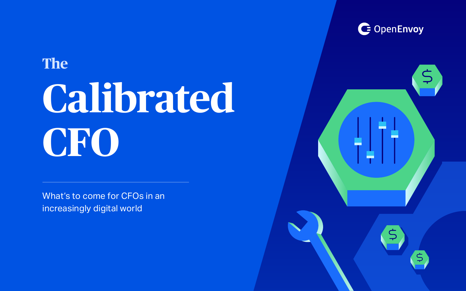# **The Calibrated CFO**

What's to come for CFOs in an increasingly digital world



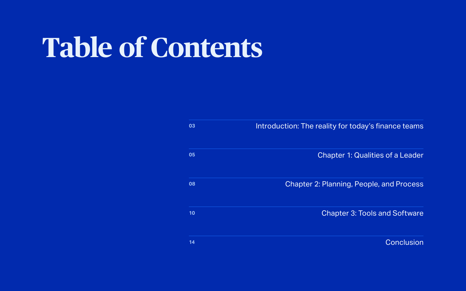# **Table of Contents**

| 03              | <b>Introduction: The reall</b> |
|-----------------|--------------------------------|
|                 |                                |
| 05              | Cha                            |
|                 |                                |
| 08              | Chapter 2: Pl                  |
|                 |                                |
| 10              | Cł                             |
|                 |                                |
| $\overline{14}$ |                                |

ity for today's finance teams

apter 1: Qualities of a Leader

anning, People, and Process

hapter 3: Tools and Software

**[Conclusion](#page-13-0)**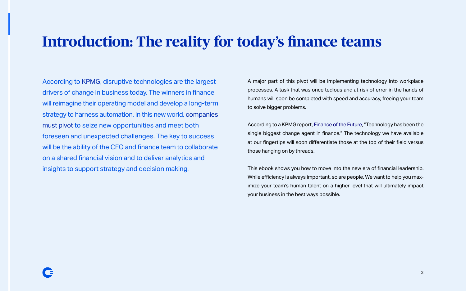According to [KPMG](https://advisory.kpmg.us/articles/2019/extreme-automation.html?utm_content=156644676&utm_medium=social&utm_source=linkedin&hss_channel=lcp-43237988), disruptive technologies are the largest drivers of change in business today. The winners in finance will reimagine their operating model and develop a long-term strategy to harness automation. In this new world, [companies](https://diginomica.com/cfo-skills-finance-leaders-new-challenges?utm_content=157498186&utm_medium=social&utm_source=linkedin&hss_channel=lcp-43237988)  [must pivot](https://diginomica.com/cfo-skills-finance-leaders-new-challenges?utm_content=157498186&utm_medium=social&utm_source=linkedin&hss_channel=lcp-43237988) to seize new opportunities and meet both foreseen and unexpected challenges. The key to success will be the ability of the CFO and finance team to collaborate on a shared financial vision and to deliver analytics and insights to support strategy and decision making.

A major part of this pivot will be implementing technology into workplace processes. A task that was once tedious and at risk of error in the hands of humans will soon be completed with speed and accuracy, freeing your team to solve bigger problems.

According to a KPMG report, [Finance of the Future](https://www.jmark.com/13-ways-the-smartest-cfos-are-using-technology-in-their-financial-models/?utm_content=154553516&utm_medium=social&utm_source=linkedin&hss_channel=lcp-43237988), "Technology has been the single biggest change agent in finance." The technology we have available at our fingertips will soon differentiate those at the top of their field versus those hanging on by threads.

This ebook shows you how to move into the new era of financial leadership. While efficiency is always important, so are people. We want to help you maximize your team's human talent on a higher level that will ultimately impact your business in the best ways possible.

# <span id="page-2-0"></span>**Introduction: The reality for today's finance teams**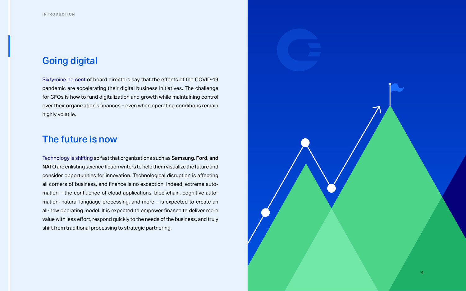### Going digital

[Sixty-nine percent](https://www.gartner.com/smarterwithgartner/top-priorities-for-finance-leaders-in-2021/?utm_content=155110700&utm_medium=social&utm_source=linkedin&hss_channel=lcp-43237988) of board directors say that the effects of the COVID-19 pandemic are accelerating their digital business initiatives. The challenge for CFOs is how to fund digitalization and growth while maintaining control over their organization's finances – even when operating conditions remain highly volatile.

### The future is now

[Technology is shifting](https://advisory.kpmg.us/articles/2019/extreme-automation.html?utm_content=156644676&utm_medium=social&utm_source=linkedin&hss_channel=lcp-43237988) so fast that organizations such as Samsung, Ford, and NATO are enlisting science fiction writers to help them visualize the future and consider opportunities for innovation. Technological disruption is affecting all corners of business, and finance is no exception. Indeed, extreme automation – the confluence of cloud applications, blockchain, cognitive automation, natural language processing, and more – is expected to create an all-new operating model. It is expected to empower finance to deliver more value with less effort, respond quickly to the needs of the business, and truly shift from traditional processing to strategic partnering.

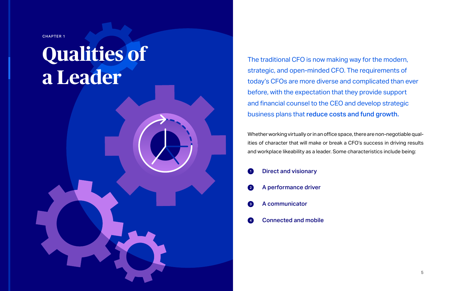The traditional CFO is now making way for the modern, strategic, and open-minded CFO. The requirements of today's CFOs are more diverse and complicated than ever before, with the expectation that they provide support and financial counsel to the CEO and develop strategic business plans that reduce costs and fund growth.

Whether working virtually or in an office space, there are non-negotiable qualities of character that will make or break a CFO's success in driving results and workplace likeability as a leader. Some characteristics include being:

|                 | <b>D</b> Direct and visionary |
|-----------------|-------------------------------|
|                 | 2 A performance driver        |
|                 | 8 A communicator              |
| $\vert 4 \vert$ | <b>Connected and mobile</b>   |

<span id="page-4-0"></span>CHAPTER 1

# **Qualities of a Leader**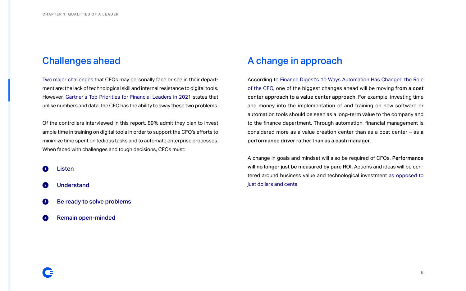# Challenges ahead

[Two major challenges](https://www.cfodive.com/news/digital-transformation-agility/585766/?utm_content=156195990&utm_medium=social&utm_source=linkedin&hss_channel=lcp-43237988) that CFOs may personally face or see in their department are: the lack of technological skill and internal resistance to digital tools. However, [Gartner's Top Priorities for Financial Leaders in 2021](https://www.gartner.com/smarterwithgartner/top-priorities-for-finance-leaders-in-2021/?utm_content=155110700&utm_medium=social&utm_source=linkedin&hss_channel=lcp-43237988) states that unlike numbers and data, the CFO has the ability to sway these two problems.

Listen 4

Of the controllers interviewed in this report, 89% admit they plan to invest ample time in training on digital tools in order to support the CFO's efforts to minimize time spent on tedious tasks and to automate enterprise processes. When faced with challenges and tough decisions, CFOs must:

- Understand
- Be ready to solve problems
- Remain open-minded

## A change in approach

According to [Finance Digest's 10 Ways Automation Has Changed the Role](https://www.financedigest.com/10-ways-automation-has-changed-the-role-of-the-cfo.html?utm_content=155096031&utm_medium=social&utm_source=linkedin&hss_channel=lcp-43237988) [of the CFO,](https://www.financedigest.com/10-ways-automation-has-changed-the-role-of-the-cfo.html?utm_content=155096031&utm_medium=social&utm_source=linkedin&hss_channel=lcp-43237988) one of the biggest changes ahead will be moving from a cost center approach to a value center approach. For example, investing time and money into the implementation of and training on new software or automation tools should be seen as a long-term value to the company and to the finance department. Through automation, financial management is considered more as a value creation center than as a cost center – as a performance driver rather than as a cash manager.

A change in goals and mindset will also be required of CFOs. Performance will no longer just be measured by pure ROI. Actions and ideas will be centered around business value and technological investment [as opposed to](https://www.techrepublic.com/article/the-cfos-role-in-digital-transformation-its-not-just-about-roi/) [just dollars and cents.](https://www.techrepublic.com/article/the-cfos-role-in-digital-transformation-its-not-just-about-roi/)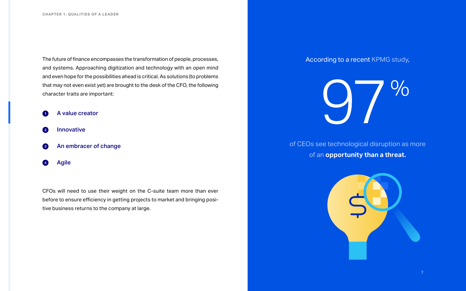The future of finance encompasses the transformation of people, processes, and systems. Approaching digitization and technology with an open mind and even hope for the possibilities ahead is critical. As solutions (to problems that may not even exist yet) are brought to the desk of the CFO, the following character traits are important:



- Innovative  $\mathbf{2}$
- An embracer of change  $\bullet$
- Agile

CFOs will need to use their weight on the C-suite team more than ever before to ensure efficiency in getting projects to market and bringing positive business returns to the company at large.

According to a recent [KPMG study](https://advisory.kpmg.us/articles/2019/extreme-automation.html?utm_content=156644676&utm_medium=social&utm_source=linkedin&hss_channel=lcp-43237988),





of an **opportunity than a threat.**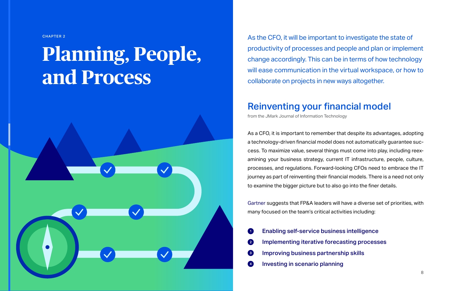As the CFO, it will be important to investigate the state of productivity of processes and people and plan or implement change accordingly. This can be in terms of how technology will ease communication in the virtual workspace, or how to collaborate on projects in new ways altogether.

## Reinventing your financial model

[from the JMark Journal of Information Technology](https://www.jmark.com/13-ways-the-smartest-cfos-are-using-technology-in-their-financial-models/?utm_content=154553516&utm_medium=social&utm_source=linkedin&hss_channel=lcp-43237988)

As a CFO, it is important to remember that despite its advantages, adopting a technology-driven financial model does not automatically guarantee success. To maximize value, several things must come into play, including reexamining your business strategy, current IT infrastructure, people, culture, processes, and regulations. Forward-looking CFOs need to embrace the IT journey as part of reinventing their financial models. There is a need not only to examine the bigger picture but to also go into the finer details.

[Gartner](https://www.gartner.com/smarterwithgartner/top-priorities-for-finance-leaders-in-2021/?utm_content=155110700&utm_medium=social&utm_source=linkedin&hss_channel=lcp-43237988) suggests that FP&A leaders will have a diverse set of priorities, with many focused on the team's critical activities including:

Implementing iterative forecasting processes

- Enabling self-service business intelligence
- Improving business partnership skills
- Investing in scenario planning

<span id="page-7-0"></span>CHAPTER 2

# **Planning, People, and Process**

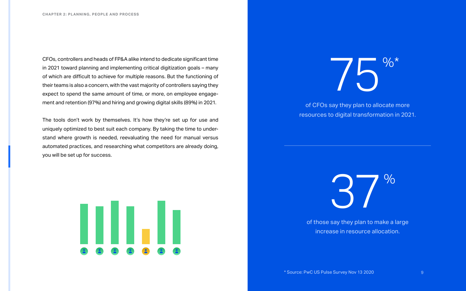CFOs, controllers and heads of FP&A alike intend to dedicate significant time in 2021 toward planning and implementing critical digitization goals – many of which are difficult to achieve for multiple reasons. But the functioning of their teams is also a concern, with the vast majority of controllers saying they expect to spend the same amount of time, or more, on employee engagement and retention (97%) and hiring and growing digital skills (89%) in 2021.

The tools don't work by themselves. It's how they're set up for use and uniquely optimized to best suit each company. By taking the time to understand where growth is needed, reevaluating the need for manual versus automated practices, and researching what competitors are already doing, you will be set up for success.







of CFOs say they plan to allocate more resources to digital transformation in 2021.

of those say they plan to make a large increase in resource allocation.

\* Source: PwC US Pulse Survey Nov 13 2020 9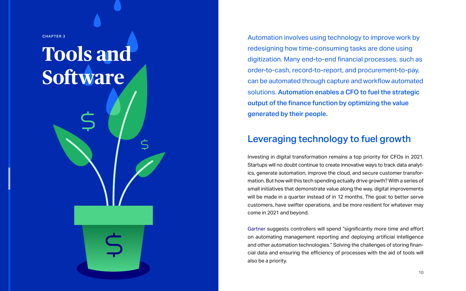Automation involves using technology to improve work by redesigning how time-consuming tasks are done using digitization. Many end-to-end financial processes, such as order-to-cash, record-to-report, and procurement-to-pay, can be automated through capture and workflow automated solutions. Automation enables a CFO to fuel the strategic output of the finance function by optimizing the value generated by their people.

# Leveraging technology to fuel growth

Investing in digital transformation remains a top priority for CFOs in 2021. Startups will no doubt continue to create innovative ways to track data analytics, generate automation, improve the cloud, and secure customer transformation. But how will this tech spending actually drive growth? With a series of small initiatives that demonstrate value along the way, digital improvements will be made in a quarter instead of in 12 months. The goal: to better serve customers, have swifter operations, and be more resilient for whatever may come in 2021 and beyond.

[Gartner](https://www.gartner.com/smarterwithgartner/top-priorities-for-finance-leaders-in-2021/?utm_content=155110700&utm_medium=social&utm_source=linkedin&hss_channel=lcp-43237988) suggests controllers will spend "significantly more time and effort on automating management reporting and deploying artificial intelligence and other automation technologies." Solving the challenges of storing financial data and ensuring the efficiency of processes with the aid of tools will also be a priority.

<span id="page-9-0"></span>CHAPTER 3

# **Tools and Software**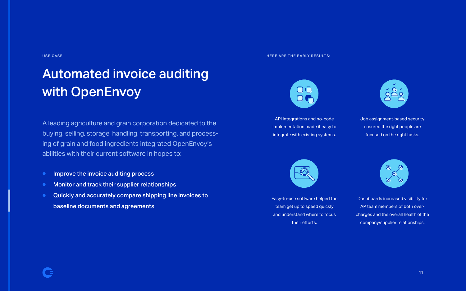Job assignment-based security ensured the right people are focused on the right tasks.



Dashboards increased visibility for AP team members of both overcharges and the overall health of the company/supplier relationships.

API integrations and no-code implementation made it easy to integrate with existing systems.



Easy-to-use software helped the team get up to speed quickly and understand where to focus their efforts.



A leading agriculture and grain corporation dedicated to the buying, selling, storage, handling, transporting, and processing of grain and food ingredients integrated OpenEnvoy's abilities with their current software in hopes to:

- Improve the invoice auditing process ●
- Monitor and track their supplier relationships ●
- Quickly and accurately compare shipping line invoices to baseline documents and agreements ●



# Automated invoice auditing with OpenEnvoy

### HERE ARE THE EARLY RESULTS:

### USE CASE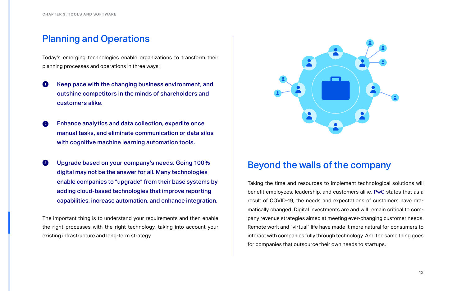### Planning and Operations

Today's emerging technologies enable organizations to transform their planning processes and operations in three ways:

- Keep pace with the changing business environment, and outshine competitors in the minds of shareholders and customers alike.
- Enhance analytics and data collection, expedite once manual tasks, and eliminate communication or data silos with cognitive machine learning automation tools.
- Upgrade based on your company's needs. Going 100% digital may not be the answer for all. Many technologies enable companies to "upgrade" from their base systems by adding cloud-based technologies that improve reporting capabilities, increase automation, and enhance integration.

The important thing is to understand your requirements and then enable the right processes with the right technology, taking into account your existing infrastructure and long-term strategy.



# Beyond the walls of the company

Taking the time and resources to implement technological solutions will benefit employees, leadership, and customers alike. [PwC](https://www.pwc.com/us/en/library/cfo.html?utm_content=155215845&utm_medium=social&utm_source=linkedin&hss_channel=lcp-43237988) states that as a result of COVID-19, the needs and expectations of customers have dramatically changed. Digital investments are and will remain critical to company revenue strategies aimed at meeting ever-changing customer needs. Remote work and "virtual" life have made it more natural for consumers to interact with companies fully through technology. And the same thing goes for companies that outsource their own needs to startups.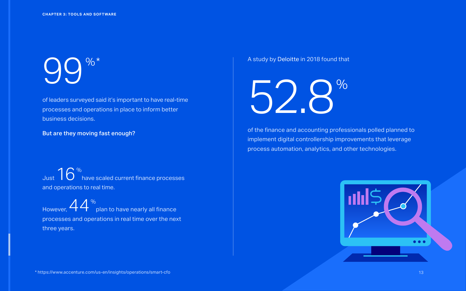# [99%\\*](https://www.accenture.com/us-en/insights/operations/smart-cfo)

of leaders surveyed said it's important to have real-time processes and operations in place to inform better business decisions.

Just  $16<sup>%</sup>$ </sup> have scaled current finance processes and operations to real time.

But are they moving fast enough?

However,  $44<sup>%</sup>$ </sup> plan to have nearly all finance processes and operations in real time over the next three years.

52.8%

of the finance and accounting professionals polled planned to implement digital controllership improvements that leverage process automation, analytics, and other technologies.

### A study by [Deloitte](https://www.jmark.com/13-ways-the-smartest-cfos-are-using-technology-in-their-financial-models/?utm_content=154553516&utm_medium=social&utm_source=linkedin&hss_channel=lcp-43237988) in 2018 found that

\* <https://www.accenture.com/us-en/insights/operations/smart-cfo> 13



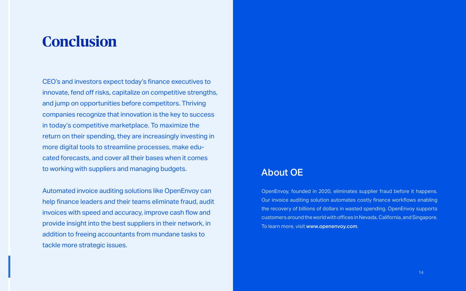CEO's and investors expect today's finance executives to innovate, fend off risks, capitalize on competitive strengths, and jump on opportunities before competitors. Thriving companies recognize that innovation is the key to success in today's competitive marketplace. To maximize the return on their spending, they are increasingly investing in more digital tools to streamline processes, make educated forecasts, and cover all their bases when it comes to working with suppliers and managing budgets.

Automated invoice auditing solutions like OpenEnvoy can help finance leaders and their teams eliminate fraud, audit invoices with speed and accuracy, improve cash flow and provide insight into the best suppliers in their network, in addition to freeing accountants from mundane tasks to tackle more strategic issues.

# <span id="page-13-0"></span>**Conclusion**

### About OE

OpenEnvoy, founded in 2020, eliminates supplier fraud before it happens. Our invoice auditing solution automates costly finance workflows enabling the recovery of billions of dollars in wasted spending. OpenEnvoy supports customers around the world with offices in Nevada, California, and Singapore. To learn more, visit www.openenvoy.com.